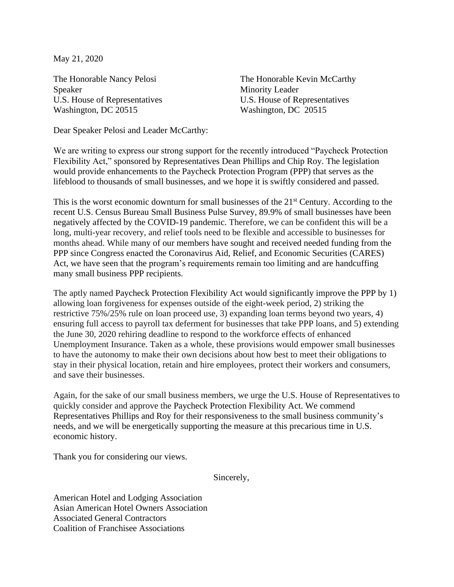May 21, 2020

The Honorable Nancy Pelosi Speaker U.S. House of Representatives Washington, DC 20515

The Honorable Kevin McCarthy Minority Leader U.S. House of Representatives Washington, DC 20515

Dear Speaker Pelosi and Leader McCarthy:

We are writing to express our strong support for the recently introduced "Paycheck Protection Flexibility Act," sponsored by Representatives Dean Phillips and Chip Roy. The legislation would provide enhancements to the Paycheck Protection Program (PPP) that serves as the lifeblood to thousands of small businesses, and we hope it is swiftly considered and passed.

This is the worst economic downturn for small businesses of the  $21<sup>st</sup>$  Century. According to the recent U.S. Census Bureau Small Business Pulse Survey, 89.9% of small businesses have been negatively affected by the COVID-19 pandemic. Therefore, we can be confident this will be a long, multi-year recovery, and relief tools need to be flexible and accessible to businesses for months ahead. While many of our members have sought and received needed funding from the PPP since Congress enacted the Coronavirus Aid, Relief, and Economic Securities (CARES) Act, we have seen that the program's requirements remain too limiting and are handcuffing many small business PPP recipients.

The aptly named Paycheck Protection Flexibility Act would significantly improve the PPP by 1) allowing loan forgiveness for expenses outside of the eight-week period, 2) striking the restrictive 75%/25% rule on loan proceed use, 3) expanding loan terms beyond two years, 4) ensuring full access to payroll tax deferment for businesses that take PPP loans, and 5) extending the June 30, 2020 rehiring deadline to respond to the workforce effects of enhanced Unemployment Insurance. Taken as a whole, these provisions would empower small businesses to have the autonomy to make their own decisions about how best to meet their obligations to stay in their physical location, retain and hire employees, protect their workers and consumers, and save their businesses.

Again, for the sake of our small business members, we urge the U.S. House of Representatives to quickly consider and approve the Paycheck Protection Flexibility Act. We commend Representatives Phillips and Roy for their responsiveness to the small business community's needs, and we will be energetically supporting the measure at this precarious time in U.S. economic history.

Thank you for considering our views.

Sincerely,

American Hotel and Lodging Association Asian American Hotel Owners Association Associated General Contractors Coalition of Franchisee Associations